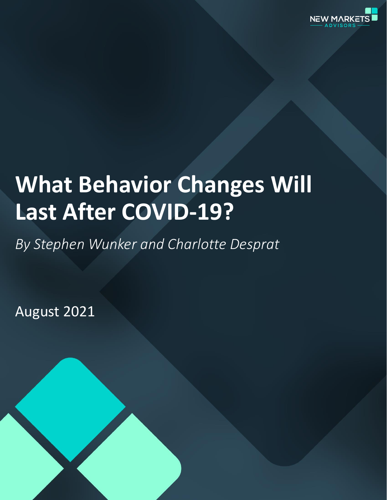

# **What Behavior Changes Will Last After COVID-19?**

*By Stephen Wunker and Charlotte Desprat*

August 2021

1 Copyright 2021 New Markets Advisors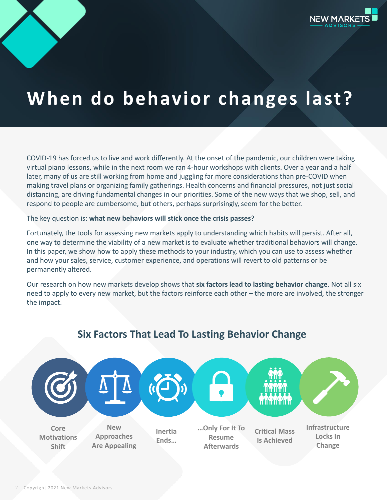

# **When do behavior changes last?**

COVID-19 has forced us to live and work differently. At the onset of the pandemic, our children were taking virtual piano lessons, while in the next room we ran 4-hour workshops with clients. Over a year and a half later, many of us are still working from home and juggling far more considerations than pre-COVID when making travel plans or organizing family gatherings. Health concerns and financial pressures, not just social distancing, are driving fundamental changes in our priorities. Some of the new ways that we shop, sell, and respond to people are cumbersome, but others, perhaps surprisingly, seem for the better.

#### The key question is: **what new behaviors will stick once the crisis passes?**

Fortunately, the tools for assessing new markets apply to understanding which habits will persist. After all, one way to determine the viability of a new market is to evaluate whether traditional behaviors will change. In this paper, we show how to apply these methods to your industry, which you can use to assess whether and how your sales, service, customer experience, and operations will revert to old patterns or be permanently altered.

Our research on how new markets develop shows that **six factors lead to lasting behavior change**. Not all six need to apply to every new market, but the factors reinforce each other – the more are involved, the stronger the impact.



## **Six Factors That Lead To Lasting Behavior Change**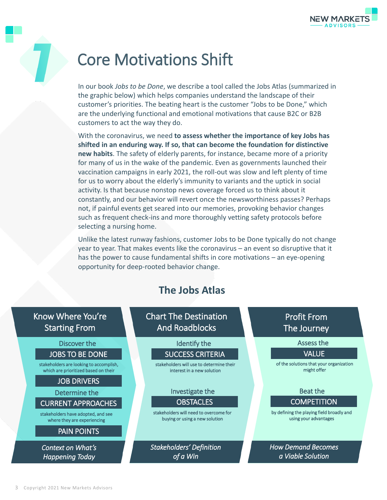

# Core Motivations Shift

In our book *Jobs to be Done*, we describe a tool called the Jobs Atlas (summarized in the graphic below) which helps companies understand the landscape of their customer's priorities. The beating heart is the customer "Jobs to be Done," which are the underlying functional and emotional motivations that cause B2C or B2B customers to act the way they do.

With the coronavirus, we need **to assess whether the importance of key Jobs has shifted in an enduring way. If so, that can become the foundation for distinctive new habits**. The safety of elderly parents, for instance, became more of a priority for many of us in the wake of the pandemic. Even as governments launched their vaccination campaigns in early 2021, the roll-out was slow and left plenty of time for us to worry about the elderly's immunity to variants and the uptick in social activity. Is that because nonstop news coverage forced us to think about it constantly, and our behavior will revert once the newsworthiness passes? Perhaps not, if painful events get seared into our memories, provoking behavior changes such as frequent check-ins and more thoroughly vetting safety protocols before selecting a nursing home.

Unlike the latest runway fashions, customer Jobs to be Done typically do not change year to year. That makes events like the coronavirus – an event so disruptive that it has the power to cause fundamental shifts in core motivations – an eye-opening opportunity for deep-rooted behavior change.

## **The Jobs Atlas**

## Know Where You're Starting From

JOBS TO BE DONE Discover the

stakeholders are looking to accomplish, which are prioritized based on their

### JOB DRIVERS

CURRENT APPROACHES Determine the

stakeholders have adopted, and see where they are experiencing

### PAIN POINTS

*Context on What's Happening Today*

Chart The Destination And Roadblocks

### Identify the

### SUCCESS CRITERIA

stakeholders will use to determine their interest in a new solution

### Investigate the

**OBSTACLES** 

stakeholders will need to overcome for buying or using a new solution

*Stakeholders' Definition of a Win*

## Profit From The Journey

Assess the

### VALUE

of the solutions that your organization might offer

Beat the

### **COMPETITION**

by defining the playing field broadly and using your advantages

*How Demand Becomes a Viable Solution*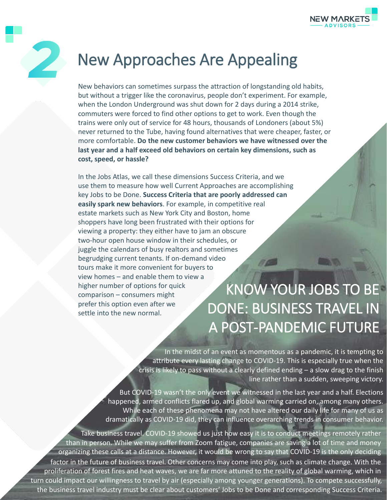



# New Approaches Are Appealing

New behaviors can sometimes surpass the attraction of longstanding old habits, but without a trigger like the coronavirus, people don't experiment. For example, when the London Underground was shut down for 2 days during a 2014 strike, commuters were forced to find other options to get to work. Even though the trains were only out of service for 48 hours, thousands of Londoners (about 5%) never returned to the Tube, having found alternatives that were cheaper, faster, or more comfortable. **Do the new customer behaviors we have witnessed over the last year and a half exceed old behaviors on certain key dimensions, such as cost, speed, or hassle?**

In the Jobs Atlas, we call these dimensions Success Criteria, and we use them to measure how well Current Approaches are accomplishing key Jobs to be Done. **Success Criteria that are poorly addressed can easily spark new behaviors**. For example, in competitive real estate markets such as New York City and Boston, home shoppers have long been frustrated with their options for viewing a property: they either have to jam an obscure two-hour open house window in their schedules, or juggle the calendars of busy realtors and sometimes begrudging current tenants. If on-demand video tours make it more convenient for buyers to view homes – and enable them to view a higher number of options for quick comparison – consumers might prefer this option even after we settle into the new normal.

# KNOW YOUR JOBS TO BE DONE: BUSINESS TRAVEL IN A POST-PANDEMIC FUTURE

In the midst of an event as momentous as a pandemic, it is tempting to attribute every lasting change to COVID-19. This is especially true when the crisis is likely to pass without a clearly defined ending – a slow drag to the finish line rather than a sudden, sweeping victory.

But COVID-19 wasn't the only event we witnessed in the last year and a half. Elections happened, armed conflicts flared up, and global warming carried on, among many others. While each of these phenomena may not have altered our daily life for many of us as dramatically as COVID-19 did, they can influence overarching trends in consumer behavior.

the business travel industry must be clear about customers' Jobs to be Done and corresponding Success Criteria. Take business travel. COVID-19 showed us just how easy it is to conduct meetings remotely rather than in person. While we may suffer from Zoom fatigue, companies are saving a lot of time and money organizing these calls at a distance. However, it would be wrong to say that COVID-19 is the only deciding factor in the future of business travel. Other concerns may come into play, such as climate change. With the proliferation of forest fires and heat waves, we are far more attuned to the reality of global warming, which in turn could impact our willingness to travel by air (especially among younger generations). To compete successfully,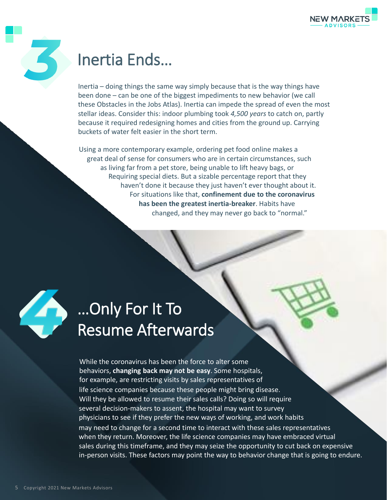



## Inertia Ends…

Inertia – doing things the same way simply because that is the way things have been done – can be one of the biggest impediments to new behavior (we call these Obstacles in the Jobs Atlas). Inertia can impede the spread of even the most stellar ideas. Consider this: indoor plumbing took *4,500 years* to catch on, partly because it required redesigning homes and cities from the ground up. Carrying buckets of water felt easier in the short term.

Using a more contemporary example, ordering pet food online makes a great deal of sense for consumers who are in certain circumstances, such as living far from a pet store, being unable to lift heavy bags, or Requiring special diets. But a sizable percentage report that they haven't done it because they just haven't ever thought about it. For situations like that, **confinement due to the coronavirus has been the greatest inertia-breaker**. Habits have changed, and they may never go back to "normal."



# …Only For It To Resume Afterwards

While the coronavirus has been the force to alter some behaviors, **changing back may not be easy**. Some hospitals, for example, are restricting visits by sales representatives of life science companies because these people might bring disease. Will they be allowed to resume their sales calls? Doing so will require several decision-makers to assent, the hospital may want to survey physicians to see if they prefer the new ways of working, and work habits may need to change for a second time to interact with these sales representatives when they return. Moreover, the life science companies may have embraced virtual sales during this timeframe, and they may seize the opportunity to cut back on expensive in-person visits. These factors may point the way to behavior change that is going to endure.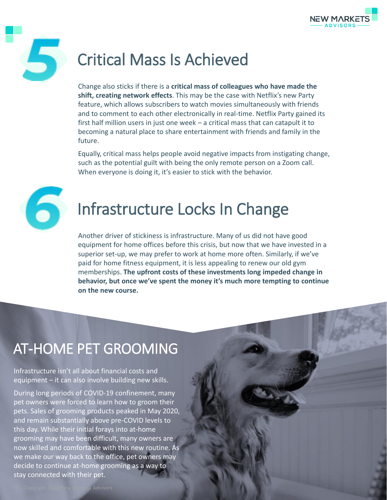

# 5

# Critical Mass Is Achieved

Change also sticks if there is a **critical mass of colleagues who have made the shift, creating network effects**. This may be the case with Netflix's new Party feature, which allows subscribers to watch movies simultaneously with friends and to comment to each other electronically in real-time. Netflix Party gained its first half million users in just one week – a critical mass that can catapult it to becoming a natural place to share entertainment with friends and family in the future.

Equally, critical mass helps people avoid negative impacts from instigating change, such as the potential guilt with being the only remote person on a Zoom call. When everyone is doing it, it's easier to stick with the behavior.



# Infrastructure Locks In Change

Another driver of stickiness is infrastructure. Many of us did not have good equipment for home offices before this crisis, but now that we have invested in a superior set-up, we may prefer to work at home more often. Similarly, if we've paid for home fitness equipment, it is less appealing to renew our old gym memberships. **The upfront costs of these investments long impeded change in behavior, but once we've spent the money it's much more tempting to continue on the new course.** 

# AT-HOME PET GROOMING

Infrastructure isn't all about financial costs and equipment – it can also involve building new skills.

During long periods of COVID-19 confinement, many pet owners were forced to learn how to groom their pets. Sales of grooming products peaked in May 2020, and remain substantially above pre-COVID levels to this day. While their initial forays into at-home grooming may have been difficult, many owners are now skilled and comfortable with this new routine. As we make our way back to the office, pet owners may decide to continue at-home grooming as a way to stay connected with their pet.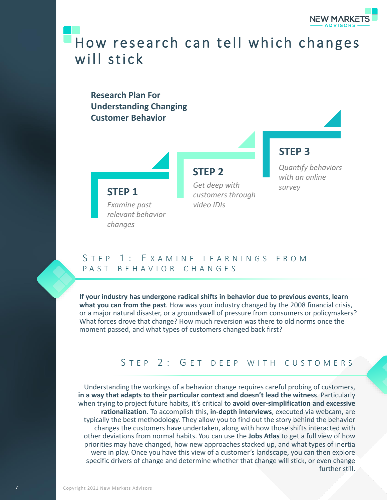

## How research can tell which changes will stick

## **Research Plan For Understanding Changing Customer Behavior**



*video IDIs*

*customers through* 

# *Get deep with*

## **STEP 3**

*Quantify behaviors with an online survey*

### *Examine past relevant behavior changes*

**STEP 1**

### S T F P 1 : E X A M I N F I F A R N I N G S F R O M PAST BEHAVIOR CHANGES

**If your industry has undergone radical shifts in behavior due to previous events, learn what you can from the past**. How was your industry changed by the 2008 financial crisis, or a major natural disaster, or a groundswell of pressure from consumers or policymakers? What forces drove that change? How much reversion was there to old norms once the moment passed, and what types of customers changed back first?

## STEP 2: GET DEEP WITH CUSTOMERS

Understanding the workings of a behavior change requires careful probing of customers, **in a way that adapts to their particular context and doesn't lead the witness**. Particularly when trying to project future habits, it's critical to **avoid over-simplification and excessive rationalization**. To accomplish this, **in-depth interviews**, executed via webcam, are typically the best methodology. They allow you to find out the story behind the behavior changes the customers have undertaken, along with how those shifts interacted with other deviations from normal habits. You can use the **Jobs Atlas** to get a full view of how priorities may have changed, how new approaches stacked up, and what types of inertia were in play. Once you have this view of a customer's landscape, you can then explore specific drivers of change and determine whether that change will stick, or even change further still.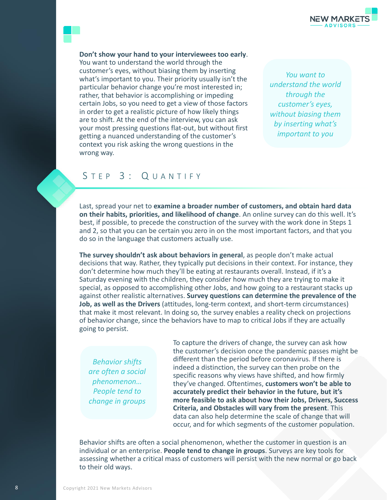

**Don't show your hand to your interviewees too early**.

You want to understand the world through the customer's eyes, without biasing them by inserting what's important to you. Their priority usually isn't the particular behavior change you're most interested in; rather, that behavior is accomplishing or impeding certain Jobs, so you need to get a view of those factors in order to get a realistic picture of how likely things are to shift. At the end of the interview, you can ask your most pressing questions flat-out, but without first getting a nuanced understanding of the customer's context you risk asking the wrong questions in the wrong way.

*You want to understand the world through the customer's eyes, without biasing them by inserting what's important to you*

### STEP 3: QUANTIFY

Last, spread your net to **examine a broader number of customers, and obtain hard data on their habits, priorities, and likelihood of change**. An online survey can do this well. It's best, if possible, to precede the construction of the survey with the work done in Steps 1 and 2, so that you can be certain you zero in on the most important factors, and that you do so in the language that customers actually use.

**The survey shouldn't ask about behaviors in general**, as people don't make actual decisions that way. Rather, they typically put decisions in their context. For instance, they don't determine how much they'll be eating at restaurants overall. Instead, if it's a Saturday evening with the children, they consider how much they are trying to make it special, as opposed to accomplishing other Jobs, and how going to a restaurant stacks up against other realistic alternatives. **Survey questions can determine the prevalence of the Job, as well as the Drivers** (attitudes, long-term context, and short-term circumstances) that make it most relevant. In doing so, the survey enables a reality check on projections of behavior change, since the behaviors have to map to critical Jobs if they are actually going to persist.

*Behavior shifts are often a social phenomenon… People tend to change in groups*

To capture the drivers of change, the survey can ask how the customer's decision once the pandemic passes might be different than the period before coronavirus. If there is indeed a distinction, the survey can then probe on the specific reasons why views have shifted, and how firmly they've changed. Oftentimes, **customers won't be able to accurately predict their behavior in the future, but it's more feasible to ask about how their Jobs, Drivers, Success Criteria, and Obstacles will vary from the present**. This data can also help determine the scale of change that will occur, and for which segments of the customer population.

Behavior shifts are often a social phenomenon, whether the customer in question is an individual or an enterprise. **People tend to change in groups**. Surveys are key tools for assessing whether a critical mass of customers will persist with the new normal or go back to their old ways.